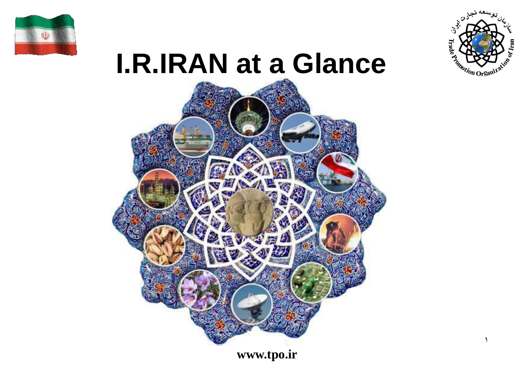



# **I.R.IRAN at a Glance**



1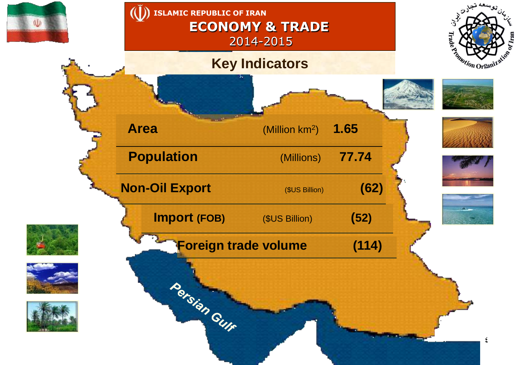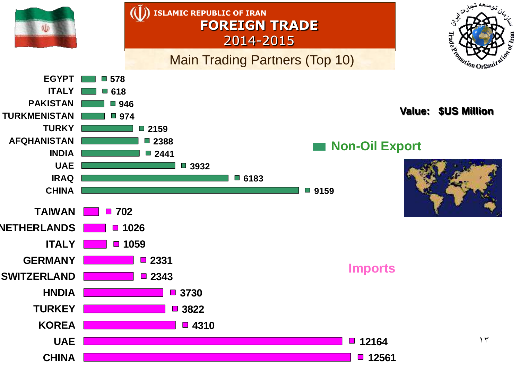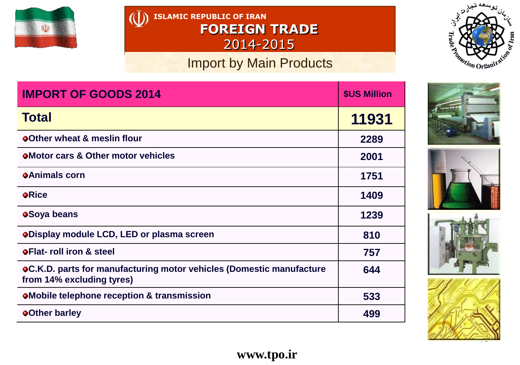

**ISLAMIC REPUBLIC OF IRAN FOREIGN TRADE** 2014-2015

## Import by Main Products



| <b>IMPORT OF GOODS 2014</b>                                                                              | <b>\$US Million</b> |
|----------------------------------------------------------------------------------------------------------|---------------------|
| <b>Total</b>                                                                                             | 11931               |
| <b>oOther wheat &amp; meslin flour</b>                                                                   | 2289                |
| <b>OMotor cars &amp; Other motor vehicles</b>                                                            | 2001                |
| <b>OAnimals corn</b>                                                                                     | 1751                |
| <b>o</b> Rice                                                                                            | 1409                |
| <b>oSoya beans</b>                                                                                       | 1239                |
| <b>oDisplay module LCD, LED or plasma screen</b>                                                         | 810                 |
| <b>OFlat-roll iron &amp; steel</b>                                                                       | 757                 |
| <b>oC.K.D. parts for manufacturing motor vehicles (Domestic manufacture</b><br>from 14% excluding tyres) | 644                 |
| <b>OMobile telephone reception &amp; transmission</b>                                                    | 533                 |
| <b>o</b> Other barley                                                                                    | 499                 |







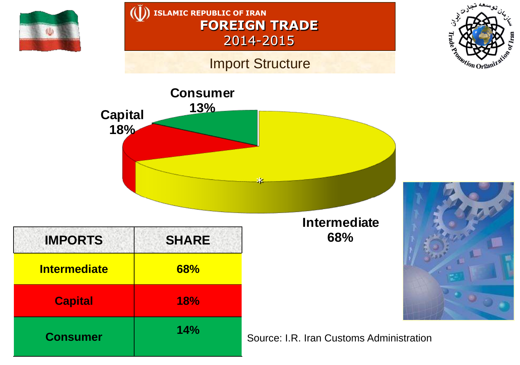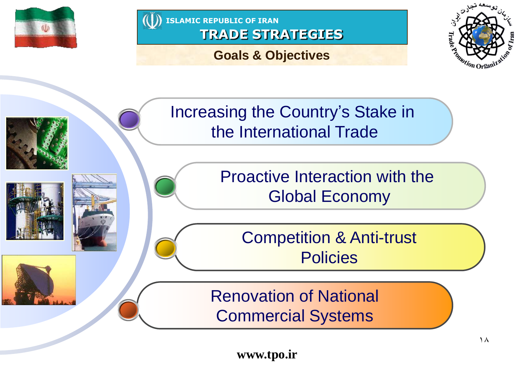



# **Goals & Objectives**



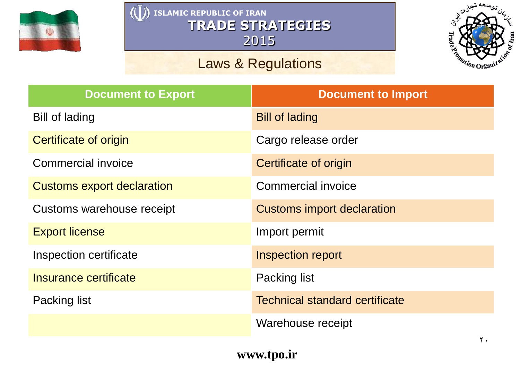

# Laws & Regulations



| <b>Document to Export</b>         | <b>Document to Import</b>             |
|-----------------------------------|---------------------------------------|
| <b>Bill of lading</b>             | <b>Bill of lading</b>                 |
| Certificate of origin             | Cargo release order                   |
| <b>Commercial invoice</b>         | Certificate of origin                 |
| <b>Customs export declaration</b> | Commercial invoice                    |
| Customs warehouse receipt         | <b>Customs import declaration</b>     |
| <b>Export license</b>             | Import permit                         |
| Inspection certificate            | <b>Inspection report</b>              |
| Insurance certificate             | Packing list                          |
| <b>Packing list</b>               | <b>Technical standard certificate</b> |
|                                   | Warehouse receipt                     |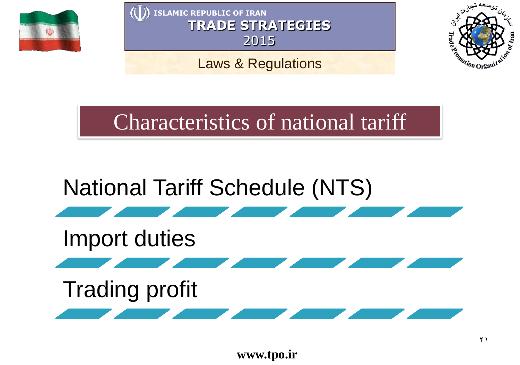

Laws & Regulations



Characteristics of national tariff

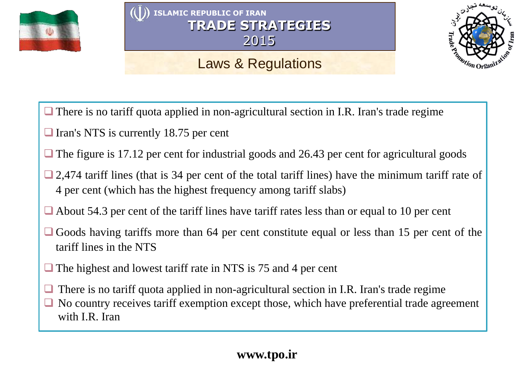

# Laws & Regulations



- $\Box$  There is no tariff quota applied in non-agricultural section in I.R. Iran's trade regime
- $\Box$  Iran's NTS is currently 18.75 per cent
- The figure is 17.12 per cent for industrial goods and 26.43 per cent for agricultural goods
- $\Box$  2,474 tariff lines (that is 34 per cent of the total tariff lines) have the minimum tariff rate of 4 per cent (which has the highest frequency among tariff slabs)
- $\Box$  About 54.3 per cent of the tariff lines have tariff rates less than or equal to 10 per cent
- Goods having tariffs more than 64 per cent constitute equal or less than 15 per cent of the tariff lines in the NTS
- $\Box$  The highest and lowest tariff rate in NTS is 75 and 4 per cent
- $\Box$  There is no tariff quota applied in non-agricultural section in I.R. Iran's trade regime
- No country receives tariff exemption except those, which have preferential trade agreement with I.R. Iran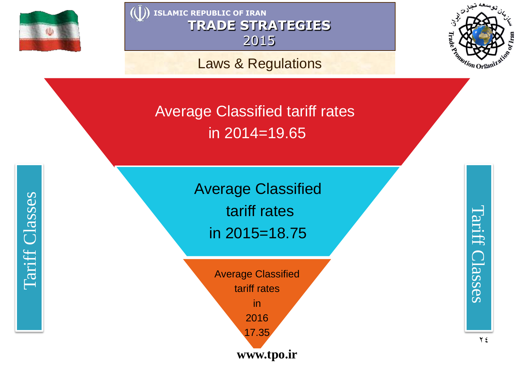

Laws & Regulations



Average Classified tariff rates in 2014 =19.65

> Average Classified tariff rates in 2015 =18.75

**www.tpo.ir** Average Classified tariff rates in 2016 17.35

Tariff Classes Tariff Classes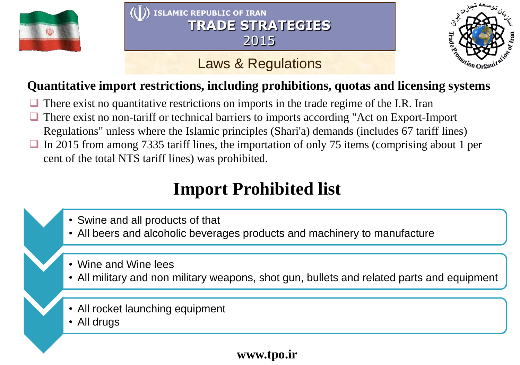

# Laws & Regulations



# **Quantitative import restrictions, including prohibitions, quotas and licensing systems**

- There exist no quantitative restrictions on imports in the trade regime of the I.R. Iran
- There exist no non-tariff or technical barriers to imports according "Act on Export-Import Regulations" unless where the Islamic principles (Shari'a) demands (includes 67 tariff lines)
- $\Box$  In 2015 from among 7335 tariff lines, the importation of only 75 items (comprising about 1 per cent of the total NTS tariff lines) was prohibited.

# **Import Prohibited list**

- Swine and all products of that
- All beers and alcoholic beverages products and machinery to manufacture
- Wine and Wine lees
- All military and non military weapons, shot gun, bullets and related parts and equipment
- All rocket launching equipment
- All drugs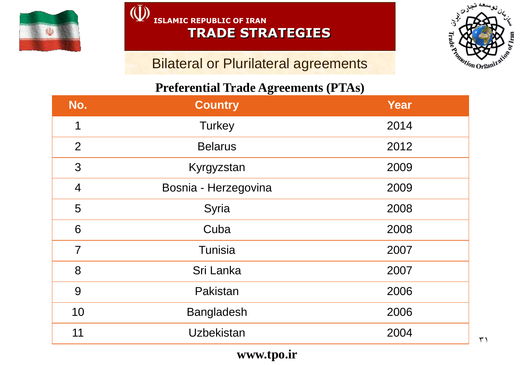

#### $\tilde{(\mathbf{U})}$ **ISLAMIC REPUBLIC OF IRAN TRADE STRATEGIES**

## **Bilateral or Plurilateral agreements**

#### **Preferential Trade Agreements (PTAs)**

| No.            | <b>Country</b>       | <b>Year</b> |
|----------------|----------------------|-------------|
| 1              | <b>Turkey</b>        | 2014        |
| 2              | <b>Belarus</b>       | 2012        |
| 3              | Kyrgyzstan           | 2009        |
| $\overline{4}$ | Bosnia - Herzegovina | 2009        |
| 5              | Syria                | 2008        |
| 6              | Cuba                 | 2008        |
| $\overline{7}$ | Tunisia              | 2007        |
| 8              | Sri Lanka            | 2007        |
| 9              | Pakistan             | 2006        |
| 10             | <b>Bangladesh</b>    | 2006        |
| 11             | <b>Uzbekistan</b>    | 2004        |

**Frade<sup>y</sup>** 

Tomotion Organi

 $o_{\ell}$  Iran